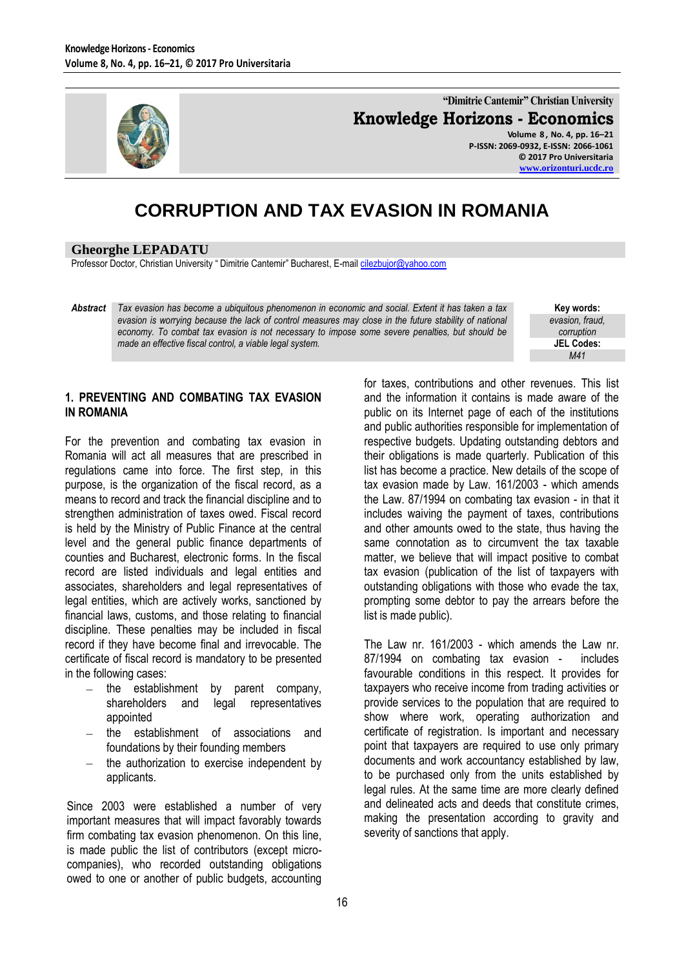

**"Dimitrie Cantemir" Christian University Knowledge Horizons - Economics Volume 8 , No. 4, pp. 16–21 P-ISSN: 2069-0932, E-ISSN: 2066-1061**

**© 2017 Pro Universitaria [www.orizonturi.ucdc.ro](http://www.orizonturi.ucdc.ro/)**

# **CORRUPTION AND TAX EVASION IN ROMANIA**

#### **Gheorghe LEPADATU**

Professor Doctor, Christian University " Dimitrie Cantemir" Bucharest, E-mai[l cilezbujor@yahoo.com](mailto:cilezbujor@yahoo.com)

*Abstract Tax evasion has become a ubiquitous phenomenon in economic and social. Extent it has taken a tax evasion is worrying because the lack of control measures may close in the future stability of national economy. To combat tax evasion is not necessary to impose some severe penalties, but should be made an effective fiscal control, a viable legal system.* 

**Key words:** *evasion, fraud, corruption* **JEL Codes:** *M41*

## **1. PREVENTING AND COMBATING TAX EVASION IN ROMANIA**

For the prevention and combating tax evasion in Romania will act all measures that are prescribed in regulations came into force. The first step, in this purpose, is the organization of the fiscal record, as a means to record and track the financial discipline and to strengthen administration of taxes owed. Fiscal record is held by the Ministry of Public Finance at the central level and the general public finance departments of counties and Bucharest, electronic forms. In the fiscal record are listed individuals and legal entities and associates, shareholders and legal representatives of legal entities, which are actively works, sanctioned by financial laws, customs, and those relating to financial discipline. These penalties may be included in fiscal record if they have become final and irrevocable. The certificate of fiscal record is mandatory to be presented in the following cases:

- the establishment by parent company, shareholders and legal representatives appointed
- the establishment of associations and foundations by their founding members
- the authorization to exercise independent by  $\equiv$ applicants.

Since 2003 were established a number of very important measures that will impact favorably towards firm combating tax evasion phenomenon. On this line, is made public the list of contributors (except microcompanies), who recorded outstanding obligations owed to one or another of public budgets, accounting

for taxes, contributions and other revenues. This list and the information it contains is made aware of the public on its Internet page of each of the institutions and public authorities responsible for implementation of respective budgets. Updating outstanding debtors and their obligations is made quarterly. Publication of this list has become a practice. New details of the scope of tax evasion made by Law. 161/2003 - which amends the Law. 87/1994 on combating tax evasion - in that it includes waiving the payment of taxes, contributions and other amounts owed to the state, thus having the same connotation as to circumvent the tax taxable matter, we believe that will impact positive to combat tax evasion (publication of the list of taxpayers with outstanding obligations with those who evade the tax, prompting some debtor to pay the arrears before the list is made public).

The Law nr. 161/2003 - which amends the Law nr. 87/1994 on combating tax evasion - includes favourable conditions in this respect. It provides for taxpayers who receive income from trading activities or provide services to the population that are required to show where work, operating authorization and certificate of registration. Is important and necessary point that taxpayers are required to use only primary documents and work accountancy established by law, to be purchased only from the units established by legal rules. At the same time are more clearly defined and delineated acts and deeds that constitute crimes, making the presentation according to gravity and severity of sanctions that apply.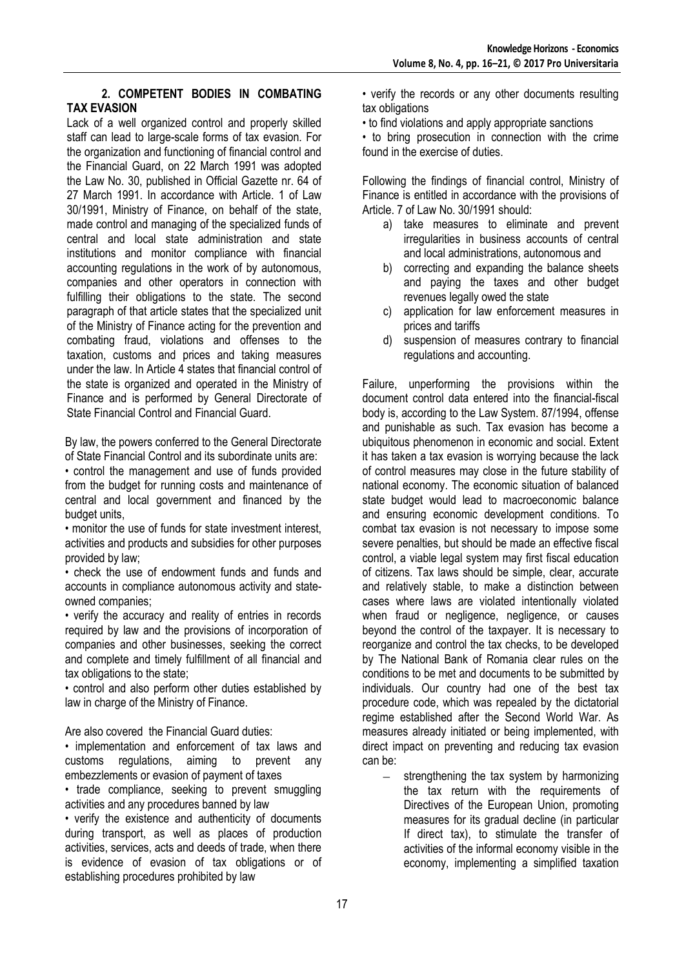#### **2. COMPETENT BODIES IN COMBATING TAX EVASION**

Lack of a well organized control and properly skilled staff can lead to large-scale forms of tax evasion. For the organization and functioning of financial control and the Financial Guard, on 22 March 1991 was adopted the Law No. 30, published in Official Gazette nr. 64 of 27 March 1991. In accordance with Article. 1 of Law 30/1991, Ministry of Finance, on behalf of the state, made control and managing of the specialized funds of central and local state administration and state institutions and monitor compliance with financial accounting regulations in the work of by autonomous, companies and other operators in connection with fulfilling their obligations to the state. The second paragraph of that article states that the specialized unit of the Ministry of Finance acting for the prevention and combating fraud, violations and offenses to the taxation, customs and prices and taking measures under the law. In Article 4 states that financial control of the state is organized and operated in the Ministry of Finance and is performed by General Directorate of State Financial Control and Financial Guard.

By law, the powers conferred to the General Directorate of State Financial Control and its subordinate units are:

• control the management and use of funds provided from the budget for running costs and maintenance of central and local government and financed by the budget units,

• monitor the use of funds for state investment interest, activities and products and subsidies for other purposes provided by law;

• check the use of endowment funds and funds and accounts in compliance autonomous activity and stateowned companies;

• verify the accuracy and reality of entries in records required by law and the provisions of incorporation of companies and other businesses, seeking the correct and complete and timely fulfillment of all financial and tax obligations to the state;

• control and also perform other duties established by law in charge of the Ministry of Finance.

Are also covered the Financial Guard duties:

• implementation and enforcement of tax laws and customs regulations, aiming to prevent any embezzlements or evasion of payment of taxes

• trade compliance, seeking to prevent smuggling activities and any procedures banned by law

• verify the existence and authenticity of documents during transport, as well as places of production activities, services, acts and deeds of trade, when there is evidence of evasion of tax obligations or of establishing procedures prohibited by law

• verify the records or any other documents resulting tax obligations

• to find violations and apply appropriate sanctions

• to bring prosecution in connection with the crime found in the exercise of duties.

Following the findings of financial control, Ministry of Finance is entitled in accordance with the provisions of Article. 7 of Law No. 30/1991 should:

- a) take measures to eliminate and prevent irregularities in business accounts of central and local administrations, autonomous and
- b) correcting and expanding the balance sheets and paying the taxes and other budget revenues legally owed the state
- c) application for law enforcement measures in prices and tariffs
- d) suspension of measures contrary to financial regulations and accounting.

Failure, unperforming the provisions within the document control data entered into the financial-fiscal body is, according to the Law System. 87/1994, offense and punishable as such. Tax evasion has become a ubiquitous phenomenon in economic and social. Extent it has taken a tax evasion is worrying because the lack of control measures may close in the future stability of national economy. The economic situation of balanced state budget would lead to macroeconomic balance and ensuring economic development conditions. To combat tax evasion is not necessary to impose some severe penalties, but should be made an effective fiscal control, a viable legal system may first fiscal education of citizens. Tax laws should be simple, clear, accurate and relatively stable, to make a distinction between cases where laws are violated intentionally violated when fraud or negligence, negligence, or causes beyond the control of the taxpayer. It is necessary to reorganize and control the tax checks, to be developed by The National Bank of Romania clear rules on the conditions to be met and documents to be submitted by individuals. Our country had one of the best tax procedure code, which was repealed by the dictatorial regime established after the Second World War. As measures already initiated or being implemented, with direct impact on preventing and reducing tax evasion can be:

strengthening the tax system by harmonizing  $\equiv$ the tax return with the requirements of Directives of the European Union, promoting measures for its gradual decline (in particular If direct tax), to stimulate the transfer of activities of the informal economy visible in the economy, implementing a simplified taxation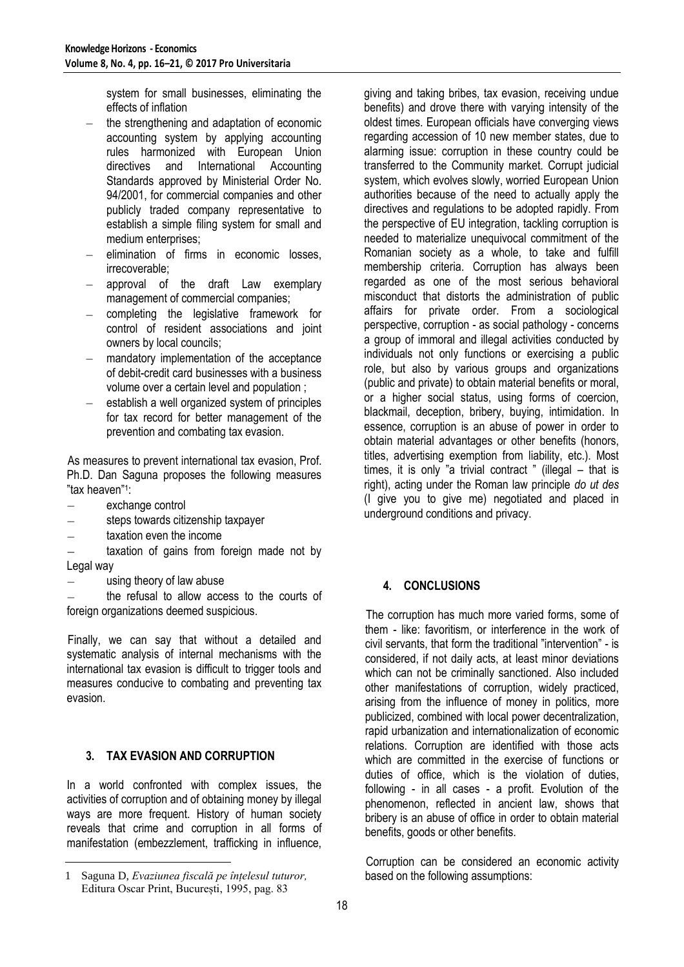system for small businesses, eliminating the effects of inflation

- the strengthening and adaptation of economic accounting system by applying accounting rules harmonized with European Union directives and International Accounting Standards approved by Ministerial Order No. 94/2001, for commercial companies and other publicly traded company representative to establish a simple filing system for small and medium enterprises;
- elimination of firms in economic losses, irrecoverable;
- approval of the draft Law exemplary management of commercial companies;
- completing the legislative framework for  $\equiv$  . control of resident associations and joint owners by local councils;
- mandatory implementation of the acceptance  $\equiv$ of debit-credit card businesses with a business volume over a certain level and population ;
- establish a well organized system of principles  $\frac{1}{2}$ for tax record for better management of the prevention and combating tax evasion.

As measures to prevent international tax evasion, Prof. Ph.D. Dan Saguna proposes the following measures "tax heaven"<sup>1</sup> :

- exchange control
- steps towards citizenship taxpayer  $\equiv$
- taxation even the income

taxation of gains from foreign made not by Legal way

using theory of law abuse

the refusal to allow access to the courts of foreign organizations deemed suspicious.

Finally, we can say that without a detailed and systematic analysis of internal mechanisms with the international tax evasion is difficult to trigger tools and measures conducive to combating and preventing tax evasion.

# **3. TAX EVASION AND CORRUPTION**

In a world confronted with complex issues, the activities of corruption and of obtaining money by illegal ways are more frequent. History of human society reveals that crime and corruption in all forms of manifestation (embezzlement, trafficking in influence,

giving and taking bribes, tax evasion, receiving undue benefits) and drove there with varying intensity of the oldest times. European officials have converging views regarding accession of 10 new member states, due to alarming issue: corruption in these country could be transferred to the Community market. Corrupt judicial system, which evolves slowly, worried European Union authorities because of the need to actually apply the directives and regulations to be adopted rapidly. From the perspective of EU integration, tackling corruption is needed to materialize unequivocal commitment of the Romanian society as a whole, to take and fulfill membership criteria. Corruption has always been regarded as one of the most serious behavioral misconduct that distorts the administration of public affairs for private order. From a sociological perspective, corruption - as social pathology - concerns a group of immoral and illegal activities conducted by individuals not only functions or exercising a public role, but also by various groups and organizations (public and private) to obtain material benefits or moral, or a higher social status, using forms of coercion, blackmail, deception, bribery, buying, intimidation. In essence, corruption is an abuse of power in order to obtain material advantages or other benefits (honors, titles, advertising exemption from liability, etc.). Most times, it is only "a trivial contract " (illegal – that is right), acting under the Roman law principle *do ut des*  (I give you to give me) negotiated and placed in underground conditions and privacy.

## **4. CONCLUSIONS**

The corruption has much more varied forms, some of them - like: favoritism, or interference in the work of civil servants, that form the traditional "intervention" - is considered, if not daily acts, at least minor deviations which can not be criminally sanctioned. Also included other manifestations of corruption, widely practiced, arising from the influence of money in politics, more publicized, combined with local power decentralization, rapid urbanization and internationalization of economic relations. Corruption are identified with those acts which are committed in the exercise of functions or duties of office, which is the violation of duties, following - in all cases - a profit. Evolution of the phenomenon, reflected in ancient law, shows that bribery is an abuse of office in order to obtain material benefits, goods or other benefits.

Corruption can be considered an economic activity based on the following assumptions:

 $\overline{a}$ 1 Saguna D, *Evaziunea fiscală pe înțelesul tuturor,*  Editura Oscar Print, București, 1995, pag. 83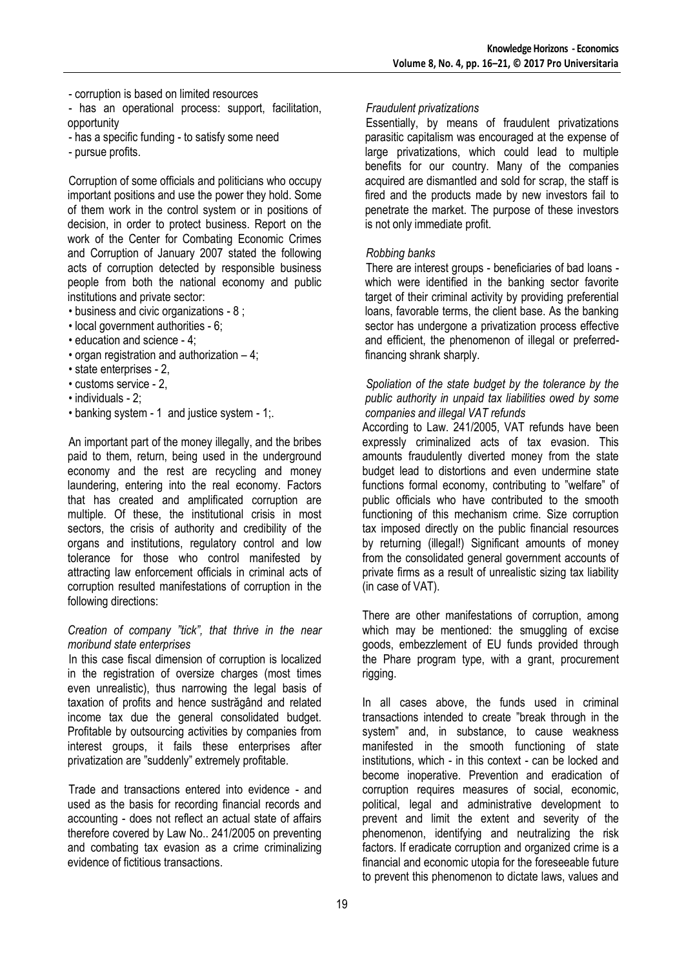- corruption is based on limited resources

- has an operational process: support, facilitation, opportunity

- has a specific funding to satisfy some need
- pursue profits.

Corruption of some officials and politicians who occupy important positions and use the power they hold. Some of them work in the control system or in positions of decision, in order to protect business. Report on the work of the Center for Combating Economic Crimes and Corruption of January 2007 stated the following acts of corruption detected by responsible business people from both the national economy and public institutions and private sector:

- business and civic organizations 8 ;
- local government authorities 6;
- education and science 4;
- organ registration and authorization 4;
- state enterprises 2,
- customs service 2,
- individuals 2;
- banking system 1 and justice system 1;.

An important part of the money illegally, and the bribes paid to them, return, being used in the underground economy and the rest are recycling and money laundering, entering into the real economy. Factors that has created and amplificated corruption are multiple. Of these, the institutional crisis in most sectors, the crisis of authority and credibility of the organs and institutions, regulatory control and low tolerance for those who control manifested by attracting law enforcement officials in criminal acts of corruption resulted manifestations of corruption in the following directions:

#### *Creation of company "tick", that thrive in the near moribund state enterprises*

In this case fiscal dimension of corruption is localized in the registration of oversize charges (most times even unrealistic), thus narrowing the legal basis of taxation of profits and hence sustrăgând and related income tax due the general consolidated budget. Profitable by outsourcing activities by companies from interest groups, it fails these enterprises after privatization are "suddenly" extremely profitable.

Trade and transactions entered into evidence - and used as the basis for recording financial records and accounting - does not reflect an actual state of affairs therefore covered by Law No.. 241/2005 on preventing and combating tax evasion as a crime criminalizing evidence of fictitious transactions.

#### *Fraudulent privatizations*

Essentially, by means of fraudulent privatizations parasitic capitalism was encouraged at the expense of large privatizations, which could lead to multiple benefits for our country. Many of the companies acquired are dismantled and sold for scrap, the staff is fired and the products made by new investors fail to penetrate the market. The purpose of these investors is not only immediate profit.

#### *Robbing banks*

There are interest groups - beneficiaries of bad loans which were identified in the banking sector favorite target of their criminal activity by providing preferential loans, favorable terms, the client base. As the banking sector has undergone a privatization process effective and efficient, the phenomenon of illegal or preferredfinancing shrank sharply.

#### *Spoliation of the state budget by the tolerance by the public authority in unpaid tax liabilities owed by some companies and illegal VAT refunds*

According to Law. 241/2005, VAT refunds have been expressly criminalized acts of tax evasion. This amounts fraudulently diverted money from the state budget lead to distortions and even undermine state functions formal economy, contributing to "welfare" of public officials who have contributed to the smooth functioning of this mechanism crime. Size corruption tax imposed directly on the public financial resources by returning (illegal!) Significant amounts of money from the consolidated general government accounts of private firms as a result of unrealistic sizing tax liability (in case of VAT).

There are other manifestations of corruption, among which may be mentioned: the smuggling of excise goods, embezzlement of EU funds provided through the Phare program type, with a grant, procurement rigging.

In all cases above, the funds used in criminal transactions intended to create "break through in the system" and, in substance, to cause weakness manifested in the smooth functioning of state institutions, which - in this context - can be locked and become inoperative. Prevention and eradication of corruption requires measures of social, economic, political, legal and administrative development to prevent and limit the extent and severity of the phenomenon, identifying and neutralizing the risk factors. If eradicate corruption and organized crime is a financial and economic utopia for the foreseeable future to prevent this phenomenon to dictate laws, values and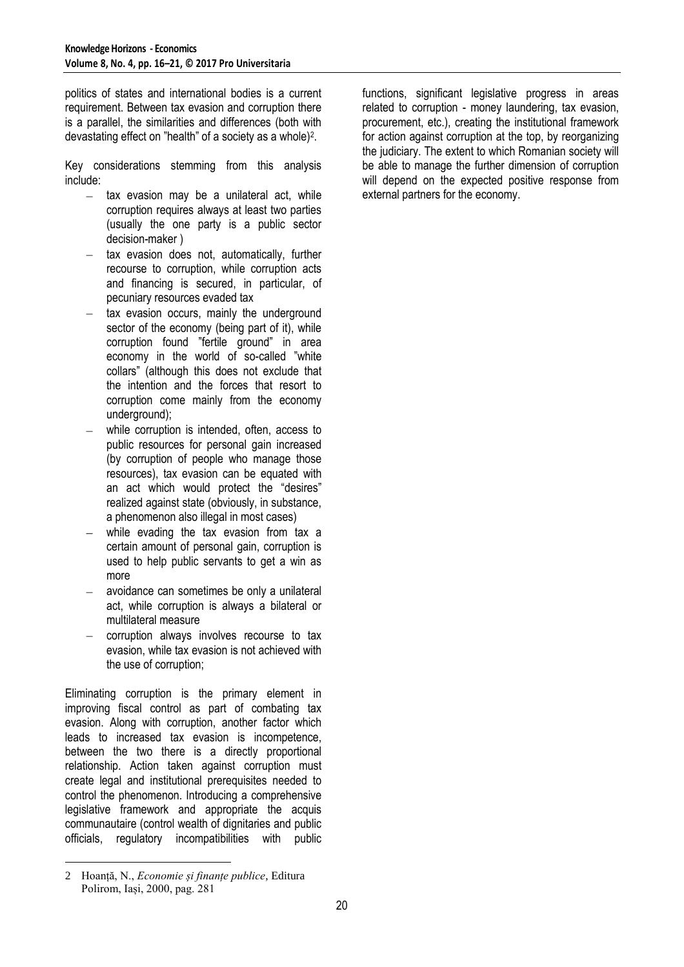politics of states and international bodies is a current requirement. Between tax evasion and corruption there is a parallel, the similarities and differences (both with devastating effect on "health" of a society as a whole)<sup>2</sup> .

Key considerations stemming from this analysis include:

- $-$  tax evasion may be a unilateral act, while corruption requires always at least two parties (usually the one party is a public sector decision-maker )
- tax evasion does not, automatically, further recourse to corruption, while corruption acts and financing is secured, in particular, of pecuniary resources evaded tax
- tax evasion occurs, mainly the underground sector of the economy (being part of it), while corruption found "fertile ground" in area economy in the world of so-called "white collars" (although this does not exclude that the intention and the forces that resort to corruption come mainly from the economy underground);
- while corruption is intended, often, access to public resources for personal gain increased (by corruption of people who manage those resources), tax evasion can be equated with an act which would protect the "desires" realized against state (obviously, in substance, a phenomenon also illegal in most cases)
- while evading the tax evasion from tax a certain amount of personal gain, corruption is used to help public servants to get a win as more
- avoidance can sometimes be only a unilateral act, while corruption is always a bilateral or multilateral measure
- corruption always involves recourse to tax  $\equiv$ evasion, while tax evasion is not achieved with the use of corruption;

Eliminating corruption is the primary element in improving fiscal control as part of combating tax evasion. Along with corruption, another factor which leads to increased tax evasion is incompetence, between the two there is a directly proportional relationship. Action taken against corruption must create legal and institutional prerequisites needed to control the phenomenon. Introducing a comprehensive legislative framework and appropriate the acquis communautaire (control wealth of dignitaries and public officials, regulatory incompatibilities with public functions, significant legislative progress in areas related to corruption - money laundering, tax evasion, procurement, etc.), creating the institutional framework for action against corruption at the top, by reorganizing the judiciary. The extent to which Romanian society will be able to manage the further dimension of corruption will depend on the expected positive response from external partners for the economy.

 $\overline{a}$ 2 Hoanță, N., *Economie și finanțe publice*, Editura Polirom, Iași, 2000, pag. 281